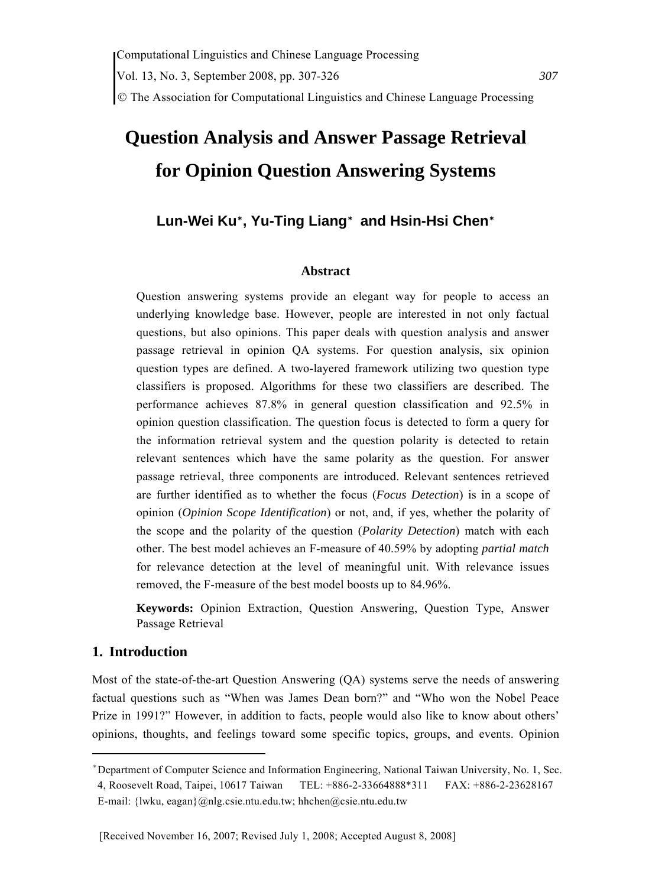# **Question Analysis and Answer Passage Retrieval for Opinion Question Answering Systems**

## **Lun-Wei Ku**\* **, Yu-Ting Liang**\*  **and Hsin-Hsi Chen**\*

#### **Abstract**

Question answering systems provide an elegant way for people to access an underlying knowledge base. However, people are interested in not only factual questions, but also opinions. This paper deals with question analysis and answer passage retrieval in opinion QA systems. For question analysis, six opinion question types are defined. A two-layered framework utilizing two question type classifiers is proposed. Algorithms for these two classifiers are described. The performance achieves 87.8% in general question classification and 92.5% in opinion question classification. The question focus is detected to form a query for the information retrieval system and the question polarity is detected to retain relevant sentences which have the same polarity as the question. For answer passage retrieval, three components are introduced. Relevant sentences retrieved are further identified as to whether the focus (*Focus Detection*) is in a scope of opinion (*Opinion Scope Identification*) or not, and, if yes, whether the polarity of the scope and the polarity of the question (*Polarity Detection*) match with each other. The best model achieves an F-measure of 40.59% by adopting *partial match* for relevance detection at the level of meaningful unit. With relevance issues removed, the F-measure of the best model boosts up to 84.96%.

**Keywords:** Opinion Extraction, Question Answering, Question Type, Answer Passage Retrieval

#### **1. Introduction**

Most of the state-of-the-art Question Answering (QA) systems serve the needs of answering factual questions such as "When was James Dean born?" and "Who won the Nobel Peace Prize in 1991?" However, in addition to facts, people would also like to know about others' opinions, thoughts, and feelings toward some specific topics, groups, and events. Opinion

<sup>\*</sup> Department of Computer Science and Information Engineering, National Taiwan University, No. 1, Sec.

<sup>4,</sup> Roosevelt Road, Taipei, 10617 Taiwan TEL: +886-2-33664888\*311 FAX: +886-2-23628167 E-mail: {lwku, eagan}@nlg.csie.ntu.edu.tw; hhchen@csie.ntu.edu.tw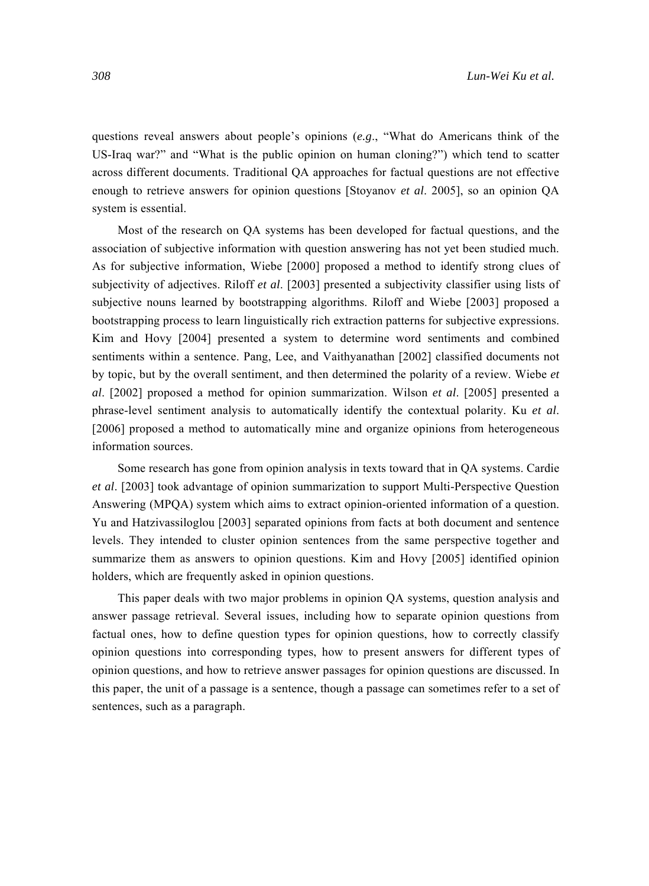questions reveal answers about people's opinions (*e.g*., "What do Americans think of the US-Iraq war?" and "What is the public opinion on human cloning?") which tend to scatter across different documents. Traditional QA approaches for factual questions are not effective enough to retrieve answers for opinion questions [Stoyanov *et al*. 2005], so an opinion QA system is essential.

Most of the research on QA systems has been developed for factual questions, and the association of subjective information with question answering has not yet been studied much. As for subjective information, Wiebe [2000] proposed a method to identify strong clues of subjectivity of adjectives. Riloff *et al*. [2003] presented a subjectivity classifier using lists of subjective nouns learned by bootstrapping algorithms. Riloff and Wiebe [2003] proposed a bootstrapping process to learn linguistically rich extraction patterns for subjective expressions. Kim and Hovy [2004] presented a system to determine word sentiments and combined sentiments within a sentence. Pang, Lee, and Vaithyanathan [2002] classified documents not by topic, but by the overall sentiment, and then determined the polarity of a review. Wiebe *et al*. [2002] proposed a method for opinion summarization. Wilson *et al*. [2005] presented a phrase-level sentiment analysis to automatically identify the contextual polarity. Ku *et al*. [2006] proposed a method to automatically mine and organize opinions from heterogeneous information sources.

Some research has gone from opinion analysis in texts toward that in QA systems. Cardie *et al*. [2003] took advantage of opinion summarization to support Multi-Perspective Question Answering (MPQA) system which aims to extract opinion-oriented information of a question. Yu and Hatzivassiloglou [2003] separated opinions from facts at both document and sentence levels. They intended to cluster opinion sentences from the same perspective together and summarize them as answers to opinion questions. Kim and Hovy [2005] identified opinion holders, which are frequently asked in opinion questions.

This paper deals with two major problems in opinion QA systems, question analysis and answer passage retrieval. Several issues, including how to separate opinion questions from factual ones, how to define question types for opinion questions, how to correctly classify opinion questions into corresponding types, how to present answers for different types of opinion questions, and how to retrieve answer passages for opinion questions are discussed. In this paper, the unit of a passage is a sentence, though a passage can sometimes refer to a set of sentences, such as a paragraph.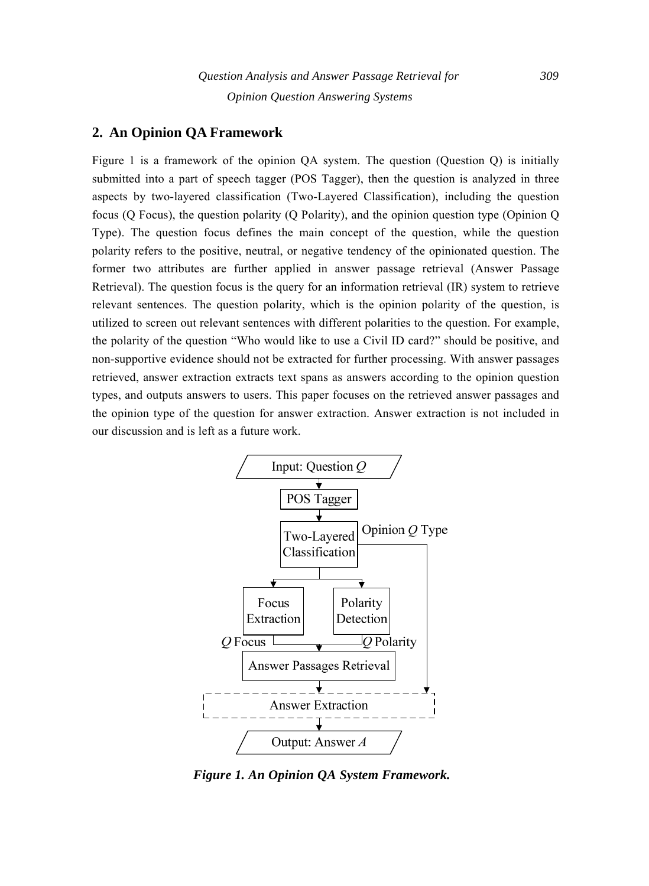## **2. An Opinion QA Framework**

Figure 1 is a framework of the opinion QA system. The question (Question Q) is initially submitted into a part of speech tagger (POS Tagger), then the question is analyzed in three aspects by two-layered classification (Two-Layered Classification), including the question focus (Q Focus), the question polarity (Q Polarity), and the opinion question type (Opinion Q Type). The question focus defines the main concept of the question, while the question polarity refers to the positive, neutral, or negative tendency of the opinionated question. The former two attributes are further applied in answer passage retrieval (Answer Passage Retrieval). The question focus is the query for an information retrieval (IR) system to retrieve relevant sentences. The question polarity, which is the opinion polarity of the question, is utilized to screen out relevant sentences with different polarities to the question. For example, the polarity of the question "Who would like to use a Civil ID card?" should be positive, and non-supportive evidence should not be extracted for further processing. With answer passages retrieved, answer extraction extracts text spans as answers according to the opinion question types, and outputs answers to users. This paper focuses on the retrieved answer passages and the opinion type of the question for answer extraction. Answer extraction is not included in our discussion and is left as a future work.



*Figure 1. An Opinion QA System Framework.*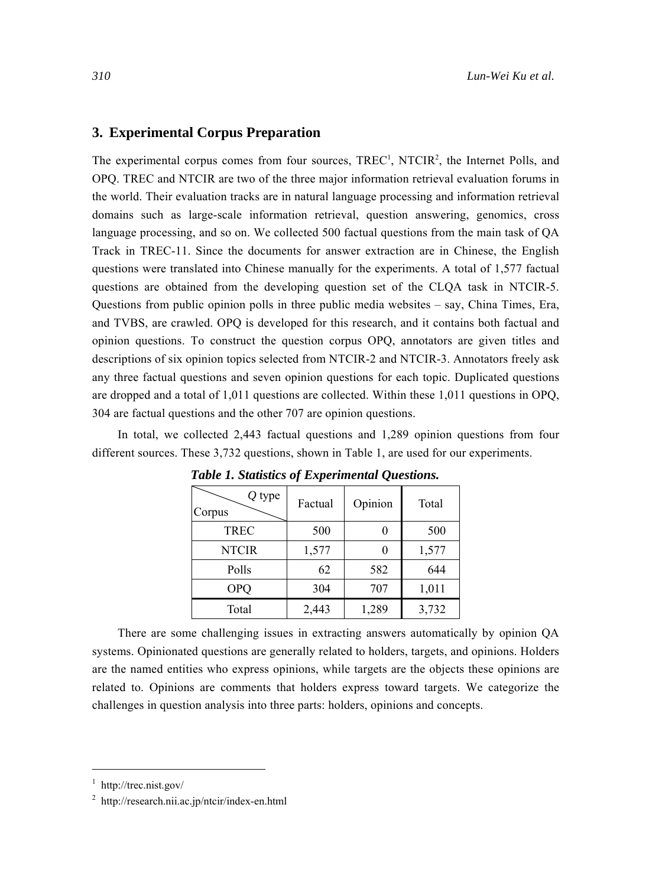## **3. Experimental Corpus Preparation**

The experimental corpus comes from four sources,  $TREC<sup>1</sup>$ ,  $NTCIR<sup>2</sup>$ , the Internet Polls, and OPQ. TREC and NTCIR are two of the three major information retrieval evaluation forums in the world. Their evaluation tracks are in natural language processing and information retrieval domains such as large-scale information retrieval, question answering, genomics, cross language processing, and so on. We collected 500 factual questions from the main task of QA Track in TREC-11. Since the documents for answer extraction are in Chinese, the English questions were translated into Chinese manually for the experiments. A total of 1,577 factual questions are obtained from the developing question set of the CLQA task in NTCIR-5. Questions from public opinion polls in three public media websites – say, China Times, Era, and TVBS, are crawled. OPQ is developed for this research, and it contains both factual and opinion questions. To construct the question corpus OPQ, annotators are given titles and descriptions of six opinion topics selected from NTCIR-2 and NTCIR-3. Annotators freely ask any three factual questions and seven opinion questions for each topic. Duplicated questions are dropped and a total of 1,011 questions are collected. Within these 1,011 questions in OPQ, 304 are factual questions and the other 707 are opinion questions.

In total, we collected 2,443 factual questions and 1,289 opinion questions from four different sources. These 3,732 questions, shown in Table 1, are used for our experiments.

| $Q$ type<br>Corpus | Factual | Opinion | Total |
|--------------------|---------|---------|-------|
| <b>TREC</b>        | 500     |         | 500   |
| <b>NTCIR</b>       | 1,577   |         | 1,577 |
| Polls              | 62      | 582     | 644   |
| <b>OPQ</b>         | 304     | 707     | 1,011 |
| Total              | 2,443   | 1,289   | 3,732 |

*Table 1. Statistics of Experimental Questions.* 

There are some challenging issues in extracting answers automatically by opinion QA systems. Opinionated questions are generally related to holders, targets, and opinions. Holders are the named entities who express opinions, while targets are the objects these opinions are related to. Opinions are comments that holders express toward targets. We categorize the challenges in question analysis into three parts: holders, opinions and concepts.

<sup>&</sup>lt;sup>1</sup> http://trec.nist.gov/

<sup>2</sup> http://research.nii.ac.jp/ntcir/index-en.html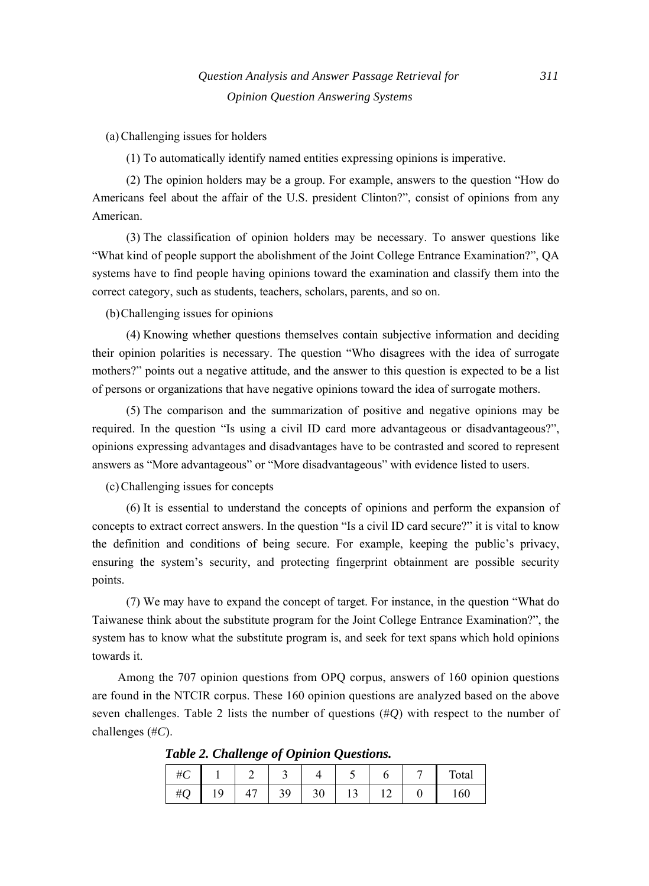(a) Challenging issues for holders

(1) To automatically identify named entities expressing opinions is imperative.

(2) The opinion holders may be a group. For example, answers to the question "How do Americans feel about the affair of the U.S. president Clinton?", consist of opinions from any American.

(3) The classification of opinion holders may be necessary. To answer questions like "What kind of people support the abolishment of the Joint College Entrance Examination?", QA systems have to find people having opinions toward the examination and classify them into the correct category, such as students, teachers, scholars, parents, and so on.

(b) Challenging issues for opinions

(4) Knowing whether questions themselves contain subjective information and deciding their opinion polarities is necessary. The question "Who disagrees with the idea of surrogate mothers?" points out a negative attitude, and the answer to this question is expected to be a list of persons or organizations that have negative opinions toward the idea of surrogate mothers.

(5) The comparison and the summarization of positive and negative opinions may be required. In the question "Is using a civil ID card more advantageous or disadvantageous?", opinions expressing advantages and disadvantages have to be contrasted and scored to represent answers as "More advantageous" or "More disadvantageous" with evidence listed to users.

(c) Challenging issues for concepts

(6) It is essential to understand the concepts of opinions and perform the expansion of concepts to extract correct answers. In the question "Is a civil ID card secure?" it is vital to know the definition and conditions of being secure. For example, keeping the public's privacy, ensuring the system's security, and protecting fingerprint obtainment are possible security points.

(7) We may have to expand the concept of target. For instance, in the question "What do Taiwanese think about the substitute program for the Joint College Entrance Examination?", the system has to know what the substitute program is, and seek for text spans which hold opinions towards it.

Among the 707 opinion questions from OPQ corpus, answers of 160 opinion questions are found in the NTCIR corpus. These 160 opinion questions are analyzed based on the above seven challenges. Table 2 lists the number of questions (#*Q*) with respect to the number of challenges (#*C*).

*Table 2. Challenge of Opinion Questions.* 

| πC |    |   | ٮ   |    | ٠ |                | Total |
|----|----|---|-----|----|---|----------------|-------|
| ะ  | ., | 4 | ر ر | υU |   | $\overline{ }$ | 160   |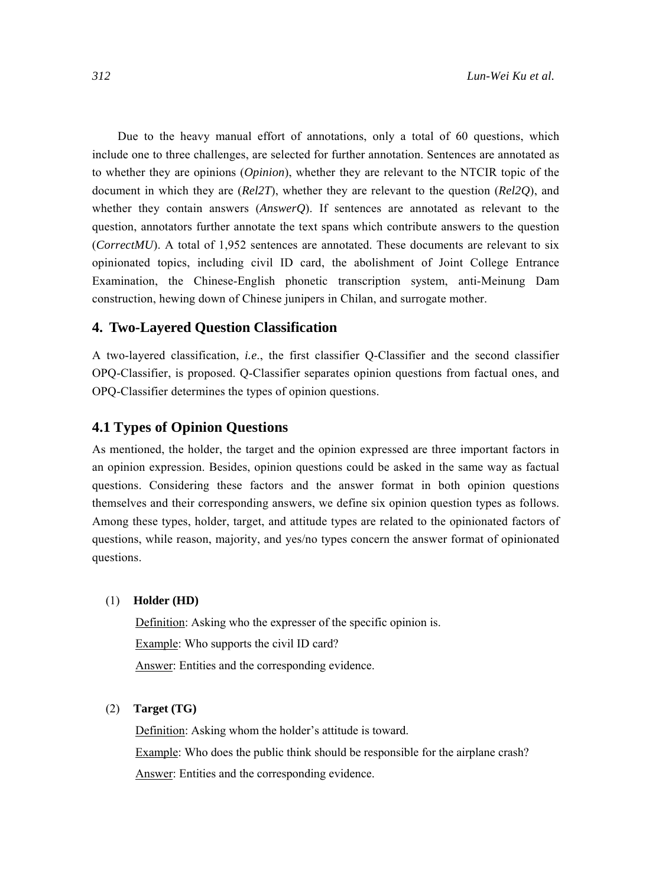Due to the heavy manual effort of annotations, only a total of 60 questions, which include one to three challenges, are selected for further annotation. Sentences are annotated as to whether they are opinions (*Opinion*), whether they are relevant to the NTCIR topic of the document in which they are (*Rel2T*), whether they are relevant to the question (*Rel2Q*), and whether they contain answers (*AnswerQ*). If sentences are annotated as relevant to the question, annotators further annotate the text spans which contribute answers to the question (*CorrectMU*). A total of 1,952 sentences are annotated. These documents are relevant to six opinionated topics, including civil ID card, the abolishment of Joint College Entrance Examination, the Chinese-English phonetic transcription system, anti-Meinung Dam construction, hewing down of Chinese junipers in Chilan, and surrogate mother.

## **4. Two-Layered Question Classification**

A two-layered classification, *i.e*., the first classifier Q-Classifier and the second classifier OPQ-Classifier, is proposed. Q-Classifier separates opinion questions from factual ones, and OPQ-Classifier determines the types of opinion questions.

## **4.1 Types of Opinion Questions**

As mentioned, the holder, the target and the opinion expressed are three important factors in an opinion expression. Besides, opinion questions could be asked in the same way as factual questions. Considering these factors and the answer format in both opinion questions themselves and their corresponding answers, we define six opinion question types as follows. Among these types, holder, target, and attitude types are related to the opinionated factors of questions, while reason, majority, and yes/no types concern the answer format of opinionated questions.

#### (1) **Holder (HD)**

Definition: Asking who the expresser of the specific opinion is. Example: Who supports the civil ID card? Answer: Entities and the corresponding evidence.

#### (2) **Target (TG)**

Definition: Asking whom the holder's attitude is toward. Example: Who does the public think should be responsible for the airplane crash? Answer: Entities and the corresponding evidence.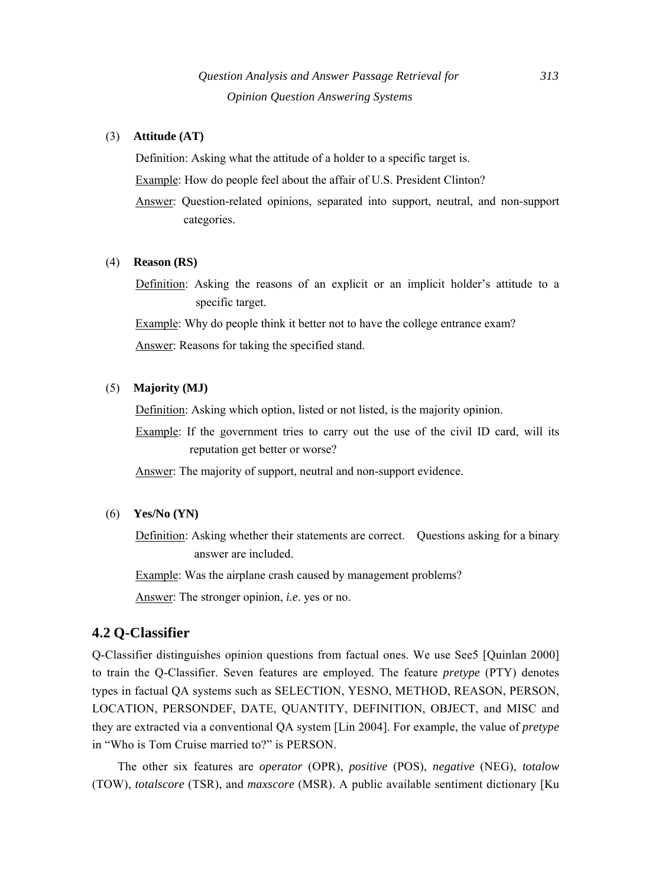#### (3) **Attitude (AT)**

Definition: Asking what the attitude of a holder to a specific target is. Example: How do people feel about the affair of U.S. President Clinton?

Answer: Question-related opinions, separated into support, neutral, and non-support categories.

#### (4) **Reason (RS)**

Definition: Asking the reasons of an explicit or an implicit holder's attitude to a specific target.

Example: Why do people think it better not to have the college entrance exam? Answer: Reasons for taking the specified stand.

## (5) **Majority (MJ)**

Definition: Asking which option, listed or not listed, is the majority opinion.

Example: If the government tries to carry out the use of the civil ID card, will its reputation get better or worse?

Answer: The majority of support, neutral and non-support evidence.

(6) **Yes/No (YN)**

Definition: Asking whether their statements are correct. Questions asking for a binary answer are included.

Example: Was the airplane crash caused by management problems?

Answer: The stronger opinion, *i.e*. yes or no.

## **4.2 Q-Classifier**

Q-Classifier distinguishes opinion questions from factual ones. We use See5 [Quinlan 2000] to train the Q-Classifier. Seven features are employed. The feature *pretype* (PTY) denotes types in factual QA systems such as SELECTION, YESNO, METHOD, REASON, PERSON, LOCATION, PERSONDEF, DATE, QUANTITY, DEFINITION, OBJECT, and MISC and they are extracted via a conventional QA system [Lin 2004]. For example, the value of *pretype* in "Who is Tom Cruise married to?" is PERSON.

The other six features are *operator* (OPR), *positive* (POS), *negative* (NEG), *totalow* (TOW), *totalscore* (TSR), and *maxscore* (MSR). A public available sentiment dictionary [Ku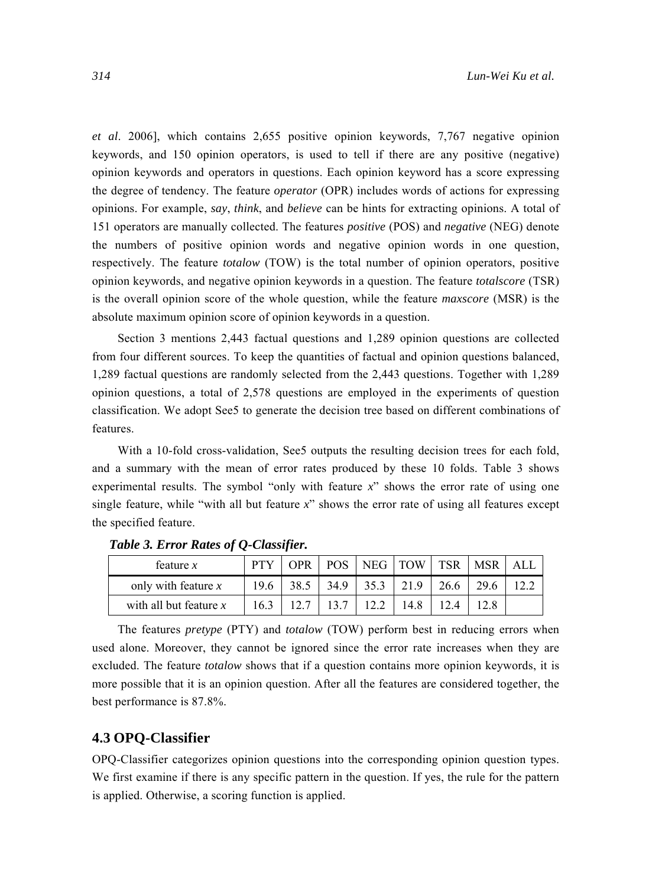*et al*. 2006], which contains 2,655 positive opinion keywords, 7,767 negative opinion keywords, and 150 opinion operators, is used to tell if there are any positive (negative) opinion keywords and operators in questions. Each opinion keyword has a score expressing the degree of tendency. The feature *operator* (OPR) includes words of actions for expressing opinions. For example, *say*, *think*, and *believe* can be hints for extracting opinions. A total of 151 operators are manually collected. The features *positive* (POS) and *negative* (NEG) denote the numbers of positive opinion words and negative opinion words in one question, respectively. The feature *totalow* (TOW) is the total number of opinion operators, positive opinion keywords, and negative opinion keywords in a question. The feature *totalscore* (TSR) is the overall opinion score of the whole question, while the feature *maxscore* (MSR) is the absolute maximum opinion score of opinion keywords in a question.

Section 3 mentions 2,443 factual questions and 1,289 opinion questions are collected from four different sources. To keep the quantities of factual and opinion questions balanced, 1,289 factual questions are randomly selected from the 2,443 questions. Together with 1,289 opinion questions, a total of 2,578 questions are employed in the experiments of question classification. We adopt See5 to generate the decision tree based on different combinations of features.

With a 10-fold cross-validation, See5 outputs the resulting decision trees for each fold, and a summary with the mean of error rates produced by these 10 folds. Table 3 shows experimental results. The symbol "only with feature *x*" shows the error rate of using one single feature, while "with all but feature *x*" shows the error rate of using all features except the specified feature.

| feature $x$              |      | 7PR. | POS  | NEG   TOW |      | TSR  | <b>MSR</b> | AL I |
|--------------------------|------|------|------|-----------|------|------|------------|------|
| only with feature $x$    | 19.6 | 38.5 | 34.9 | 35.3      | 21.9 | 26.6 | 29.6       |      |
| with all but feature $x$ | 16.3 |      |      |           | 14.8 |      |            |      |

*Table 3. Error Rates of Q-Classifier.* 

The features *pretype* (PTY) and *totalow* (TOW) perform best in reducing errors when used alone. Moreover, they cannot be ignored since the error rate increases when they are excluded. The feature *totalow* shows that if a question contains more opinion keywords, it is more possible that it is an opinion question. After all the features are considered together, the best performance is 87.8%.

## **4.3 OPQ-Classifier**

OPQ-Classifier categorizes opinion questions into the corresponding opinion question types. We first examine if there is any specific pattern in the question. If yes, the rule for the pattern is applied. Otherwise, a scoring function is applied.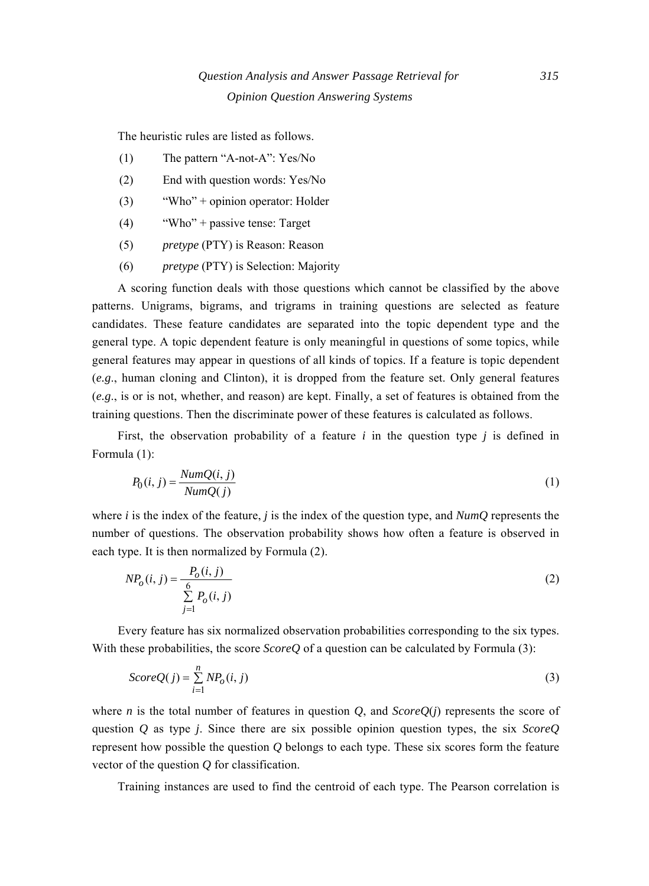The heuristic rules are listed as follows.

- (1) The pattern "A-not-A": Yes/No
- (2) End with question words: Yes/No
- (3) "Who" + opinion operator: Holder
- (4) "Who" + passive tense: Target
- (5) *pretype* (PTY) is Reason: Reason
- (6) *pretype* (PTY) is Selection: Majority

A scoring function deals with those questions which cannot be classified by the above patterns. Unigrams, bigrams, and trigrams in training questions are selected as feature candidates. These feature candidates are separated into the topic dependent type and the general type. A topic dependent feature is only meaningful in questions of some topics, while general features may appear in questions of all kinds of topics. If a feature is topic dependent (*e.g*., human cloning and Clinton), it is dropped from the feature set. Only general features (*e.g*., is or is not, whether, and reason) are kept. Finally, a set of features is obtained from the training questions. Then the discriminate power of these features is calculated as follows.

First, the observation probability of a feature *i* in the question type *j* is defined in Formula (1):

$$
P_0(i,j) = \frac{NumQ(i,j)}{NumQ(j)}
$$
(1)

where *i* is the index of the feature, *j* is the index of the question type, and *NumQ* represents the number of questions. The observation probability shows how often a feature is observed in each type. It is then normalized by Formula (2).

$$
NP_o(i, j) = \frac{P_o(i, j)}{\sum_{j=1}^{6} P_o(i, j)}
$$
\n(2)

 Every feature has six normalized observation probabilities corresponding to the six types. With these probabilities, the score *ScoreQ* of a question can be calculated by Formula (3):

$$
ScoreQ(j) = \sum_{i=1}^{n} NP_o(i, j)
$$
\n(3)

where *n* is the total number of features in question *Q*, and *ScoreQ*(*j*) represents the score of question *Q* as type *j*. Since there are six possible opinion question types, the six *ScoreQ* represent how possible the question *Q* belongs to each type. These six scores form the feature vector of the question *Q* for classification.

Training instances are used to find the centroid of each type. The Pearson correlation is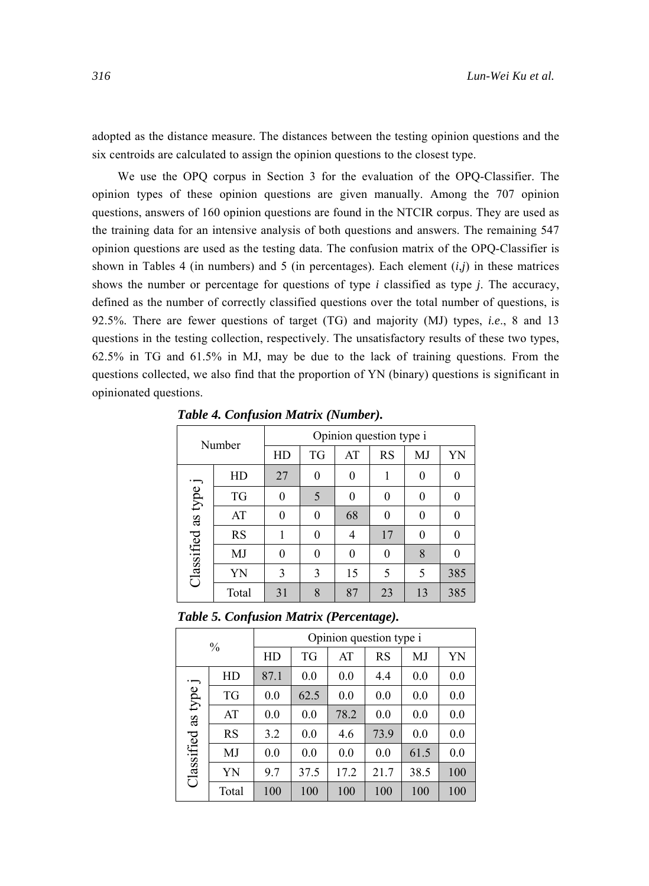adopted as the distance measure. The distances between the testing opinion questions and the six centroids are calculated to assign the opinion questions to the closest type.

We use the OPQ corpus in Section 3 for the evaluation of the OPQ-Classifier. The opinion types of these opinion questions are given manually. Among the 707 opinion questions, answers of 160 opinion questions are found in the NTCIR corpus. They are used as the training data for an intensive analysis of both questions and answers. The remaining 547 opinion questions are used as the testing data. The confusion matrix of the OPQ-Classifier is shown in Tables 4 (in numbers) and 5 (in percentages). Each element  $(i,j)$  in these matrices shows the number or percentage for questions of type *i* classified as type *j*. The accuracy, defined as the number of correctly classified questions over the total number of questions, is 92.5%. There are fewer questions of target (TG) and majority (MJ) types, *i.e*., 8 and 13 questions in the testing collection, respectively. The unsatisfactory results of these two types, 62.5% in TG and 61.5% in MJ, may be due to the lack of training questions. From the questions collected, we also find that the proportion of YN (binary) questions is significant in opinionated questions.

| Number               |           | Opinion question type i |           |    |           |          |                  |  |
|----------------------|-----------|-------------------------|-----------|----|-----------|----------|------------------|--|
|                      |           | HD                      | <b>TG</b> | AT | <b>RS</b> | MJ       | YN               |  |
|                      | HD        | 27                      | 0         | 0  |           | $\Omega$ | 0                |  |
|                      | <b>TG</b> | 0                       | 5         |    | 0         |          | $\left( \right)$ |  |
|                      | AT        | 0                       | 0         | 68 | 0         |          | $\left( \right)$ |  |
|                      | <b>RS</b> |                         | 0         | 4  | 17        |          | 0                |  |
|                      | MJ        | 0                       | 0         |    | 0         | 8        |                  |  |
| Classified as type j | YN        | 3                       | 3         | 15 | 5         | 5        | 385              |  |
|                      | Total     | 31                      | 8         | 87 | 23        | 13       | 385              |  |

*Table 4. Confusion Matrix (Number).* 

|  |  |  |  | Table 5. Confusion Matrix (Percentage). |
|--|--|--|--|-----------------------------------------|
|--|--|--|--|-----------------------------------------|

| $\frac{0}{0}$        |           | Opinion question type i |      |      |      |      |     |  |
|----------------------|-----------|-------------------------|------|------|------|------|-----|--|
|                      |           | HD                      | TG   | AT   | RS   | MJ   | YN  |  |
|                      | HD        | 87.1                    | 0.0  | 0.0  | 4.4  | 0.0  | 0.0 |  |
|                      | TG        | 0.0                     | 62.5 | 0.0  | 0.0  | 0.0  | 0.0 |  |
|                      | AT        | 0.0                     | 0.0  | 78.2 | 0.0  | 0.0  | 0.0 |  |
|                      | <b>RS</b> | 3.2                     | 0.0  | 4.6  | 73.9 | 0.0  | 0.0 |  |
|                      | MJ        | 0.0                     | 0.0  | 0.0  | 0.0  | 61.5 | 0.0 |  |
| Classified as type j | YN        | 9.7                     | 37.5 | 17.2 | 21.7 | 38.5 | 100 |  |
|                      | Total     | 100                     | 100  | 100  | 100  | 100  | 100 |  |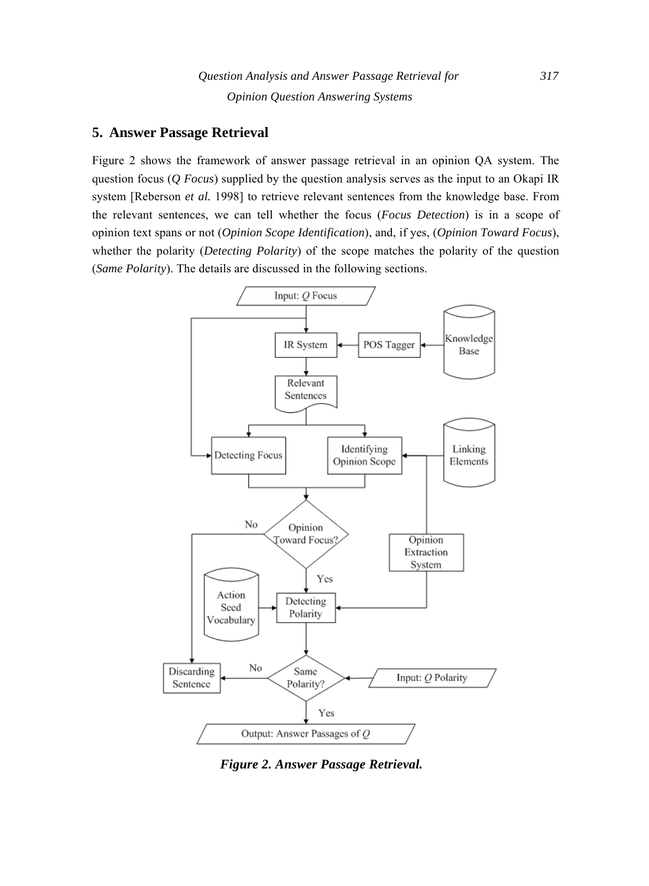## **5. Answer Passage Retrieval**

Figure 2 shows the framework of answer passage retrieval in an opinion QA system. The question focus (*Q Focus*) supplied by the question analysis serves as the input to an Okapi IR system [Reberson *et al.* 1998] to retrieve relevant sentences from the knowledge base. From the relevant sentences, we can tell whether the focus (*Focus Detection*) is in a scope of opinion text spans or not (*Opinion Scope Identification*), and, if yes, (*Opinion Toward Focus*), whether the polarity (*Detecting Polarity*) of the scope matches the polarity of the question (*Same Polarity*). The details are discussed in the following sections.



*Figure 2. Answer Passage Retrieval.*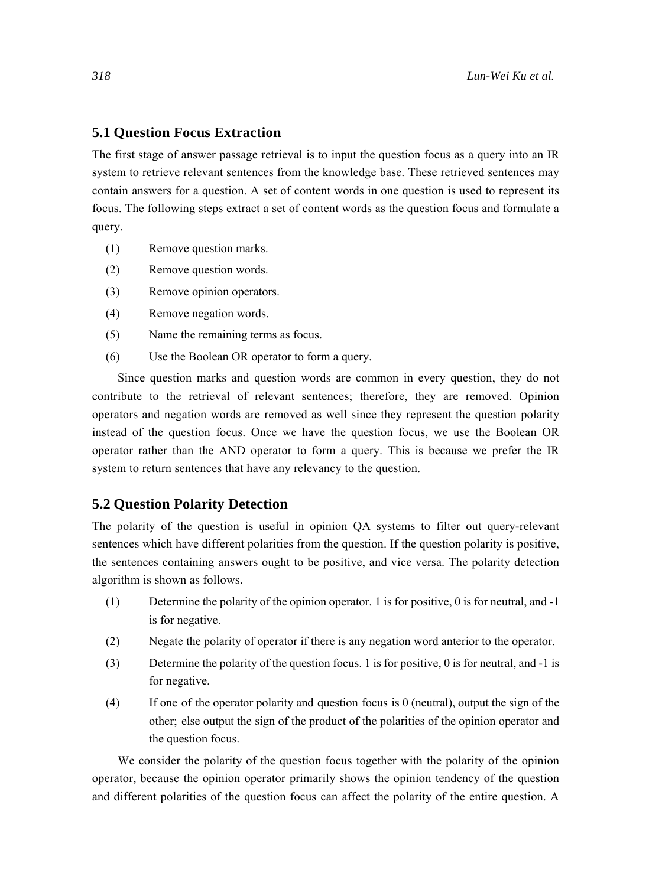## **5.1 Question Focus Extraction**

The first stage of answer passage retrieval is to input the question focus as a query into an IR system to retrieve relevant sentences from the knowledge base. These retrieved sentences may contain answers for a question. A set of content words in one question is used to represent its focus. The following steps extract a set of content words as the question focus and formulate a query.

- (1) Remove question marks.
- (2) Remove question words.
- (3) Remove opinion operators.
- (4) Remove negation words.
- (5) Name the remaining terms as focus.
- (6) Use the Boolean OR operator to form a query.

Since question marks and question words are common in every question, they do not contribute to the retrieval of relevant sentences; therefore, they are removed. Opinion operators and negation words are removed as well since they represent the question polarity instead of the question focus. Once we have the question focus, we use the Boolean OR operator rather than the AND operator to form a query. This is because we prefer the IR system to return sentences that have any relevancy to the question.

### **5.2 Question Polarity Detection**

The polarity of the question is useful in opinion QA systems to filter out query-relevant sentences which have different polarities from the question. If the question polarity is positive, the sentences containing answers ought to be positive, and vice versa. The polarity detection algorithm is shown as follows.

- (1) Determine the polarity of the opinion operator. 1 is for positive, 0 is for neutral, and -1 is for negative.
- (2) Negate the polarity of operator if there is any negation word anterior to the operator.
- (3) Determine the polarity of the question focus. 1 is for positive, 0 is for neutral, and -1 is for negative.
- (4) If one of the operator polarity and question focus is 0 (neutral), output the sign of the other; else output the sign of the product of the polarities of the opinion operator and the question focus.

We consider the polarity of the question focus together with the polarity of the opinion operator, because the opinion operator primarily shows the opinion tendency of the question and different polarities of the question focus can affect the polarity of the entire question. A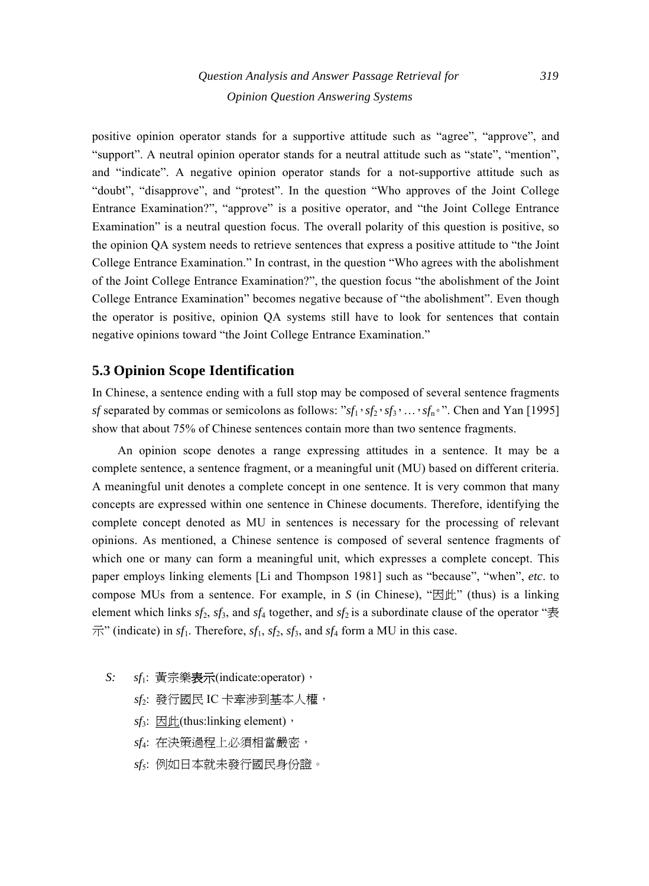## *Question Analysis and Answer Passage Retrieval for 319 Opinion Question Answering Systems*

positive opinion operator stands for a supportive attitude such as "agree", "approve", and "support". A neutral opinion operator stands for a neutral attitude such as "state", "mention", and "indicate". A negative opinion operator stands for a not-supportive attitude such as "doubt", "disapprove", and "protest". In the question "Who approves of the Joint College Entrance Examination?", "approve" is a positive operator, and "the Joint College Entrance Examination" is a neutral question focus. The overall polarity of this question is positive, so the opinion QA system needs to retrieve sentences that express a positive attitude to "the Joint College Entrance Examination." In contrast, in the question "Who agrees with the abolishment of the Joint College Entrance Examination?", the question focus "the abolishment of the Joint College Entrance Examination" becomes negative because of "the abolishment". Even though the operator is positive, opinion QA systems still have to look for sentences that contain negative opinions toward "the Joint College Entrance Examination."

## **5.3 Opinion Scope Identification**

In Chinese, a sentence ending with a full stop may be composed of several sentence fragments *sf* separated by commas or semicolons as follows: " $sf_1 \cdot sf_2 \cdot sf_3 \cdot ... \cdot sf_n \cdot$ ". Chen and Yan [1995] show that about 75% of Chinese sentences contain more than two sentence fragments.

An opinion scope denotes a range expressing attitudes in a sentence. It may be a complete sentence, a sentence fragment, or a meaningful unit (MU) based on different criteria. A meaningful unit denotes a complete concept in one sentence. It is very common that many concepts are expressed within one sentence in Chinese documents. Therefore, identifying the complete concept denoted as MU in sentences is necessary for the processing of relevant opinions. As mentioned, a Chinese sentence is composed of several sentence fragments of which one or many can form a meaningful unit, which expresses a complete concept. This paper employs linking elements [Li and Thompson 1981] such as "because", "when", *etc*. to compose MUs from a sentence. For example, in *S* (in Chinese), " $\mathbb{E}$   $\mathbb{H}$ " (thus) is a linking element which links  $sf_2$ ,  $sf_3$ , and  $sf_4$  together, and  $sf_2$  is a subordinate clause of the operator " $\ddot{\mathcal{R}}$  $\overrightarrow{\pi}$ " (indicate) in *sf*<sub>1</sub>. Therefore, *sf*<sub>1</sub>, *sf*<sub>2</sub>, *sf*<sub>3</sub>, and *sf*<sub>4</sub> form a MU in this case.

- *S: sf*1: 黃宗樂表示(indicate:operator),
	- *sf*2: 發行國民 IC 卡牽涉到基本人權,
	- *sf*<sub>3</sub>: 因此(thus:linking element),
	- *sf*4: 在決策過程上必須相當嚴密,
	- *sf*5: 例如日本就未發行國民身份證。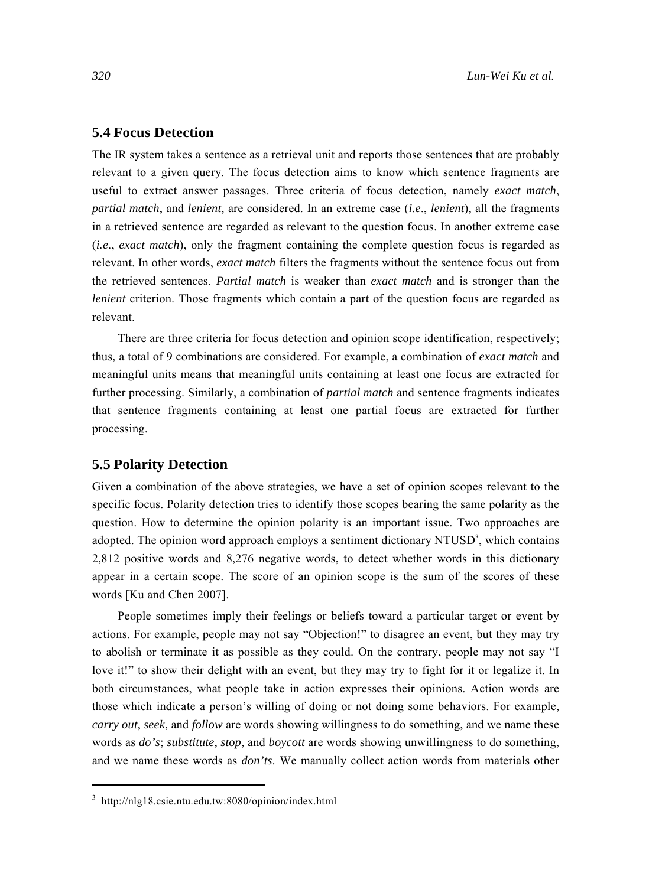#### **5.4 Focus Detection**

The IR system takes a sentence as a retrieval unit and reports those sentences that are probably relevant to a given query. The focus detection aims to know which sentence fragments are useful to extract answer passages. Three criteria of focus detection, namely *exact match*, *partial match*, and *lenient*, are considered. In an extreme case (*i.e*., *lenient*), all the fragments in a retrieved sentence are regarded as relevant to the question focus. In another extreme case (*i.e*., *exact match*), only the fragment containing the complete question focus is regarded as relevant. In other words, *exact match* filters the fragments without the sentence focus out from the retrieved sentences. *Partial match* is weaker than *exact match* and is stronger than the *lenient* criterion. Those fragments which contain a part of the question focus are regarded as relevant.

There are three criteria for focus detection and opinion scope identification, respectively; thus, a total of 9 combinations are considered. For example, a combination of *exact match* and meaningful units means that meaningful units containing at least one focus are extracted for further processing. Similarly, a combination of *partial match* and sentence fragments indicates that sentence fragments containing at least one partial focus are extracted for further processing.

#### **5.5 Polarity Detection**

Given a combination of the above strategies, we have a set of opinion scopes relevant to the specific focus. Polarity detection tries to identify those scopes bearing the same polarity as the question. How to determine the opinion polarity is an important issue. Two approaches are adopted. The opinion word approach employs a sentiment dictionary  $NTUSD<sup>3</sup>$ , which contains 2,812 positive words and 8,276 negative words, to detect whether words in this dictionary appear in a certain scope. The score of an opinion scope is the sum of the scores of these words [Ku and Chen 2007].

People sometimes imply their feelings or beliefs toward a particular target or event by actions. For example, people may not say "Objection!" to disagree an event, but they may try to abolish or terminate it as possible as they could. On the contrary, people may not say "I love it!" to show their delight with an event, but they may try to fight for it or legalize it. In both circumstances, what people take in action expresses their opinions. Action words are those which indicate a person's willing of doing or not doing some behaviors. For example, *carry out*, *seek*, and *follow* are words showing willingness to do something, and we name these words as *do's*; *substitute*, *stop*, and *boycott* are words showing unwillingness to do something, and we name these words as *don'ts*. We manually collect action words from materials other

<sup>3</sup> http://nlg18.csie.ntu.edu.tw:8080/opinion/index.html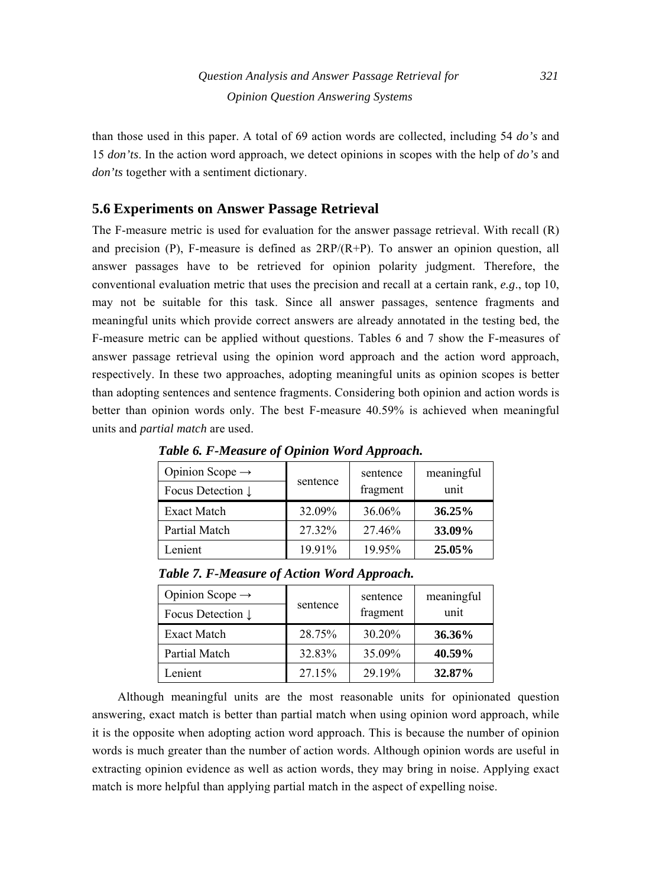than those used in this paper. A total of 69 action words are collected, including 54 *do's* and 15 *don'ts*. In the action word approach, we detect opinions in scopes with the help of *do's* and *don'ts* together with a sentiment dictionary.

## **5.6 Experiments on Answer Passage Retrieval**

The F-measure metric is used for evaluation for the answer passage retrieval. With recall (R) and precision  $(P)$ , F-measure is defined as  $2RP/(R+P)$ . To answer an opinion question, all answer passages have to be retrieved for opinion polarity judgment. Therefore, the conventional evaluation metric that uses the precision and recall at a certain rank, *e.g*., top 10, may not be suitable for this task. Since all answer passages, sentence fragments and meaningful units which provide correct answers are already annotated in the testing bed, the F-measure metric can be applied without questions. Tables 6 and 7 show the F-measures of answer passage retrieval using the opinion word approach and the action word approach, respectively. In these two approaches, adopting meaningful units as opinion scopes is better than adopting sentences and sentence fragments. Considering both opinion and action words is better than opinion words only. The best F-measure 40.59% is achieved when meaningful units and *partial match* are used.

| Opinion Scope $\rightarrow$  |          | sentence | meaningful |
|------------------------------|----------|----------|------------|
| Focus Detection $\downarrow$ | sentence | fragment | unit       |
| <b>Exact Match</b>           | 32.09%   | 36.06%   | 36.25%     |
| Partial Match                | 27.32%   | 27.46%   | 33.09%     |
| Lenient                      | 19.91%   | 19.95%   | 25.05%     |

*Table 6. F-Measure of Opinion Word Approach.* 

| Opinion Scope $\rightarrow$<br>Focus Detection $\downarrow$ | sentence | sentence<br>fragment | meaningful<br>unit |
|-------------------------------------------------------------|----------|----------------------|--------------------|
| <b>Exact Match</b>                                          | 28.75%   | 30.20%               | 36.36%             |
| Partial Match                                               | 32.83%   | 35.09%               | 40.59%             |

Lenient 27.15% 29.19% **32.87%** 

*Table 7. F-Measure of Action Word Approach.* 

Although meaningful units are the most reasonable units for opinionated question answering, exact match is better than partial match when using opinion word approach, while it is the opposite when adopting action word approach. This is because the number of opinion words is much greater than the number of action words. Although opinion words are useful in extracting opinion evidence as well as action words, they may bring in noise. Applying exact match is more helpful than applying partial match in the aspect of expelling noise.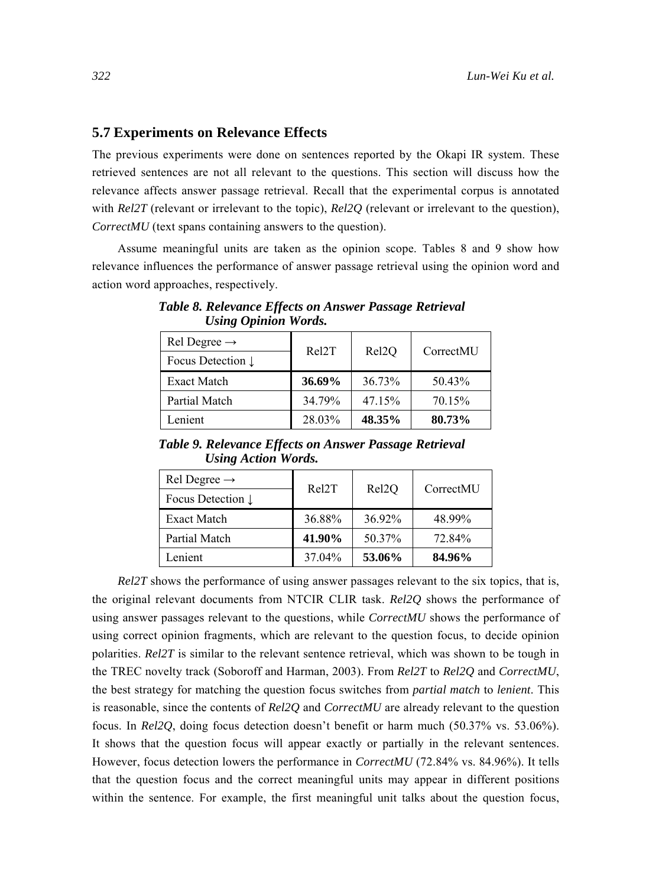#### **5.7 Experiments on Relevance Effects**

The previous experiments were done on sentences reported by the Okapi IR system. These retrieved sentences are not all relevant to the questions. This section will discuss how the relevance affects answer passage retrieval. Recall that the experimental corpus is annotated with *Rel2T* (relevant or irrelevant to the topic), *Rel2Q* (relevant or irrelevant to the question), *CorrectMU* (text spans containing answers to the question).

Assume meaningful units are taken as the opinion scope. Tables 8 and 9 show how relevance influences the performance of answer passage retrieval using the opinion word and action word approaches, respectively.

| Rel Degree $\rightarrow$     | Rel2T  |                    | CorrectMU |
|------------------------------|--------|--------------------|-----------|
| Focus Detection $\downarrow$ |        | Rel <sub>2</sub> Q |           |
| Exact Match                  | 36.69% | 36.73%             | 50.43%    |
| Partial Match                | 34.79% | 47.15%             | 70.15%    |
| Lenient                      | 28.03% | 48.35%             | 80.73%    |

*Table 8. Relevance Effects on Answer Passage Retrieval Using Opinion Words.* 

*Table 9. Relevance Effects on Answer Passage Retrieval Using Action Words.* 

| Rel Degree $\rightarrow$     | Rel2T  | Rel <sub>2Q</sub> | CorrectMU |
|------------------------------|--------|-------------------|-----------|
| Focus Detection $\downarrow$ |        |                   |           |
| Exact Match                  | 36.88% | 36.92%            | 48.99%    |
| Partial Match                | 41.90% | 50.37%            | 72.84%    |
| Lenient                      | 37.04% | 53.06%            | 84.96%    |

*Rel2T* shows the performance of using answer passages relevant to the six topics, that is, the original relevant documents from NTCIR CLIR task. *Rel2Q* shows the performance of using answer passages relevant to the questions, while *CorrectMU* shows the performance of using correct opinion fragments, which are relevant to the question focus, to decide opinion polarities. *Rel2T* is similar to the relevant sentence retrieval, which was shown to be tough in the TREC novelty track (Soboroff and Harman, 2003). From *Rel2T* to *Rel2Q* and *CorrectMU*, the best strategy for matching the question focus switches from *partial match* to *lenient*. This is reasonable, since the contents of *Rel2Q* and *CorrectMU* are already relevant to the question focus. In *Rel2Q*, doing focus detection doesn't benefit or harm much (50.37% vs. 53.06%). It shows that the question focus will appear exactly or partially in the relevant sentences. However, focus detection lowers the performance in *CorrectMU* (72.84% vs. 84.96%). It tells that the question focus and the correct meaningful units may appear in different positions within the sentence. For example, the first meaningful unit talks about the question focus,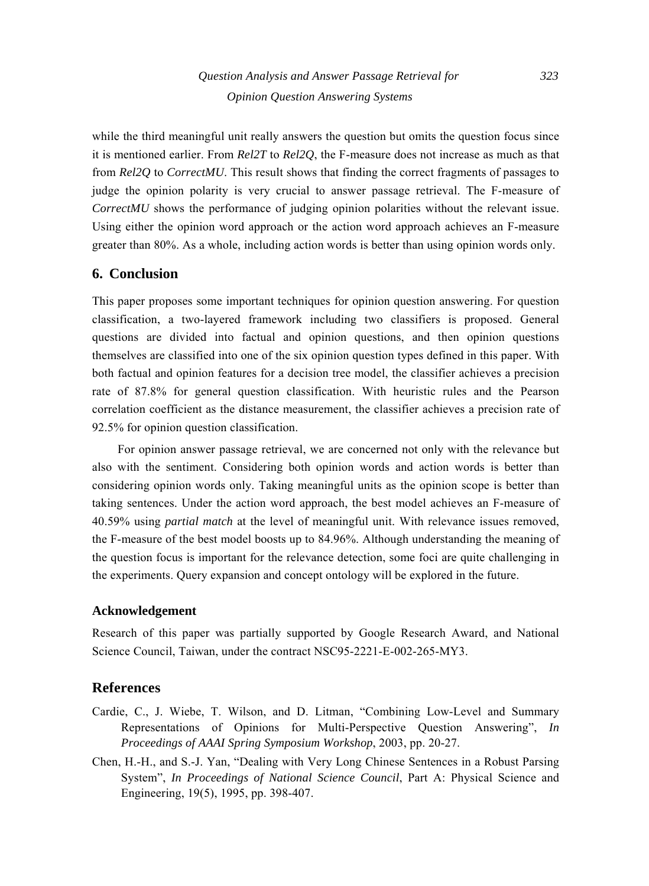while the third meaningful unit really answers the question but omits the question focus since it is mentioned earlier. From *Rel2T* to *Rel2Q*, the F-measure does not increase as much as that from *Rel2Q* to *CorrectMU*. This result shows that finding the correct fragments of passages to judge the opinion polarity is very crucial to answer passage retrieval. The F-measure of *CorrectMU* shows the performance of judging opinion polarities without the relevant issue. Using either the opinion word approach or the action word approach achieves an F-measure greater than 80%. As a whole, including action words is better than using opinion words only.

## **6. Conclusion**

This paper proposes some important techniques for opinion question answering. For question classification, a two-layered framework including two classifiers is proposed. General questions are divided into factual and opinion questions, and then opinion questions themselves are classified into one of the six opinion question types defined in this paper. With both factual and opinion features for a decision tree model, the classifier achieves a precision rate of 87.8% for general question classification. With heuristic rules and the Pearson correlation coefficient as the distance measurement, the classifier achieves a precision rate of 92.5% for opinion question classification.

For opinion answer passage retrieval, we are concerned not only with the relevance but also with the sentiment. Considering both opinion words and action words is better than considering opinion words only. Taking meaningful units as the opinion scope is better than taking sentences. Under the action word approach, the best model achieves an F-measure of 40.59% using *partial match* at the level of meaningful unit. With relevance issues removed, the F-measure of the best model boosts up to 84.96%. Although understanding the meaning of the question focus is important for the relevance detection, some foci are quite challenging in the experiments. Query expansion and concept ontology will be explored in the future.

## **Acknowledgement**

Research of this paper was partially supported by Google Research Award, and National Science Council, Taiwan, under the contract NSC95-2221-E-002-265-MY3.

## **References**

- Cardie, C., J. Wiebe, T. Wilson, and D. Litman, "Combining Low-Level and Summary Representations of Opinions for Multi-Perspective Question Answering", *In Proceedings of AAAI Spring Symposium Workshop*, 2003, pp. 20-27.
- Chen, H.-H., and S.-J. Yan, "Dealing with Very Long Chinese Sentences in a Robust Parsing System", *In Proceedings of National Science Council*, Part A: Physical Science and Engineering, 19(5), 1995, pp. 398-407.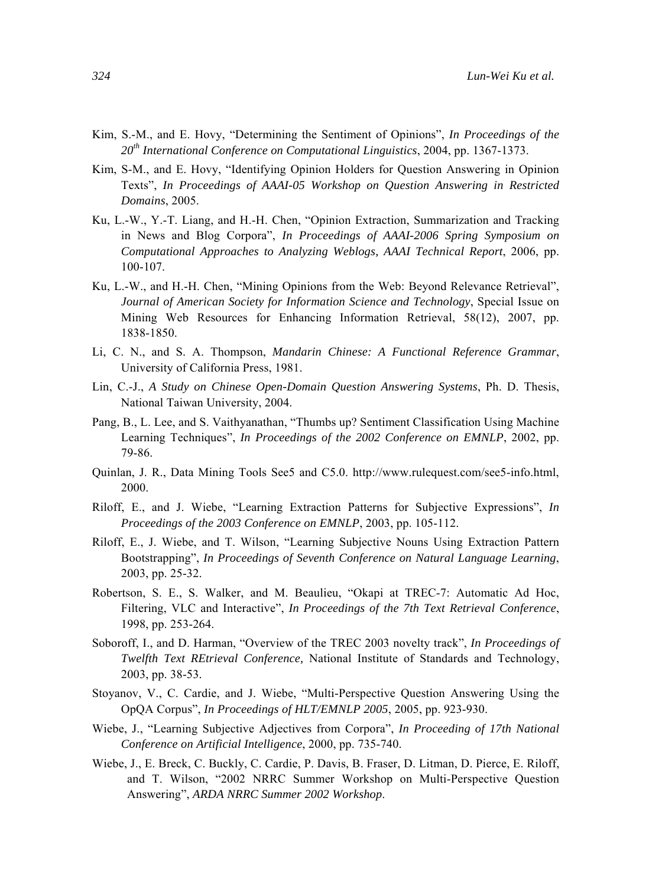- Kim, S.-M., and E. Hovy, "Determining the Sentiment of Opinions", *In Proceedings of the 20th International Conference on Computational Linguistics*, 2004, pp. 1367-1373.
- Kim, S-M., and E. Hovy, "Identifying Opinion Holders for Question Answering in Opinion Texts", *In Proceedings of AAAI-05 Workshop on Question Answering in Restricted Domains*, 2005.
- Ku, L.-W., Y.-T. Liang, and H.-H. Chen, "Opinion Extraction, Summarization and Tracking in News and Blog Corpora", *In Proceedings of AAAI-2006 Spring Symposium on Computational Approaches to Analyzing Weblogs, AAAI Technical Report*, 2006, pp. 100-107.
- Ku, L.-W., and H.-H. Chen, "Mining Opinions from the Web: Beyond Relevance Retrieval", *Journal of American Society for Information Science and Technology*, Special Issue on Mining Web Resources for Enhancing Information Retrieval, 58(12), 2007, pp. 1838-1850.
- Li, C. N., and S. A. Thompson, *Mandarin Chinese: A Functional Reference Grammar*, University of California Press, 1981.
- Lin, C.-J., *A Study on Chinese Open-Domain Question Answering Systems*, Ph. D. Thesis, National Taiwan University, 2004.
- Pang, B., L. Lee, and S. Vaithyanathan, "Thumbs up? Sentiment Classification Using Machine Learning Techniques", *In Proceedings of the 2002 Conference on EMNLP*, 2002, pp. 79-86.
- Quinlan, J. R., Data Mining Tools See5 and C5.0. http://www.rulequest.com/see5-info.html, 2000.
- Riloff, E., and J. Wiebe, "Learning Extraction Patterns for Subjective Expressions", *In Proceedings of the 2003 Conference on EMNLP*, 2003, pp. 105-112.
- Riloff, E., J. Wiebe, and T. Wilson, "Learning Subjective Nouns Using Extraction Pattern Bootstrapping", *In Proceedings of Seventh Conference on Natural Language Learning*, 2003, pp. 25-32.
- Robertson, S. E., S. Walker, and M. Beaulieu, "Okapi at TREC-7: Automatic Ad Hoc, Filtering, VLC and Interactive", *In Proceedings of the 7th Text Retrieval Conference*, 1998, pp. 253-264.
- Soboroff, I., and D. Harman, "Overview of the TREC 2003 novelty track", *In Proceedings of Twelfth Text REtrieval Conference,* National Institute of Standards and Technology, 2003, pp. 38-53.
- Stoyanov, V., C. Cardie, and J. Wiebe, "Multi-Perspective Question Answering Using the OpQA Corpus", *In Proceedings of HLT/EMNLP 2005*, 2005, pp. 923-930.
- Wiebe, J., "Learning Subjective Adjectives from Corpora", *In Proceeding of 17th National Conference on Artificial Intelligence*, 2000, pp. 735-740.
- Wiebe, J., E. Breck, C. Buckly, C. Cardie, P. Davis, B. Fraser, D. Litman, D. Pierce, E. Riloff, and T. Wilson, "2002 NRRC Summer Workshop on Multi-Perspective Question Answering", *ARDA NRRC Summer 2002 Workshop*.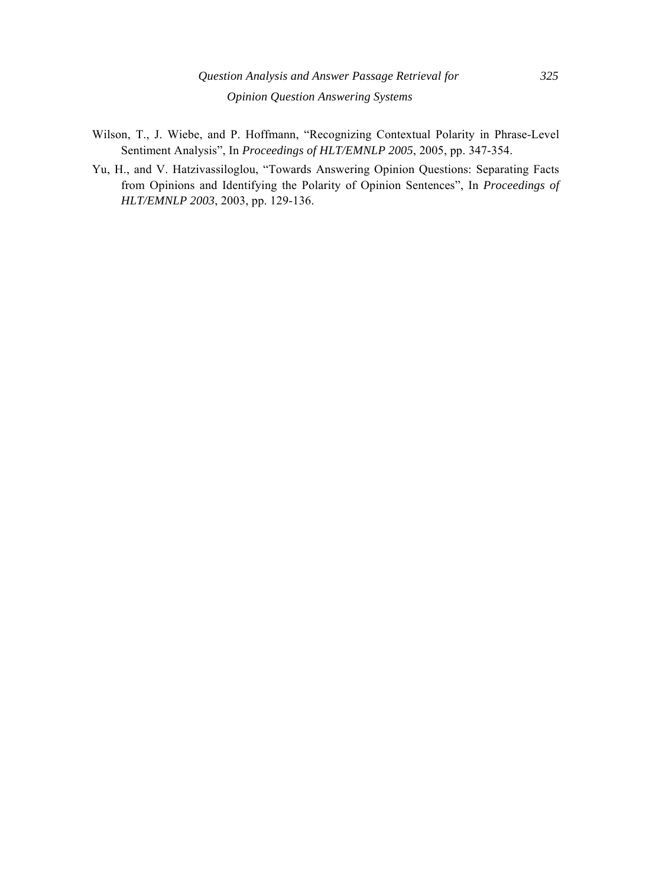- Wilson, T., J. Wiebe, and P. Hoffmann, "Recognizing Contextual Polarity in Phrase-Level Sentiment Analysis", In *Proceedings of HLT/EMNLP 2005*, 2005, pp. 347-354.
- Yu, H., and V. Hatzivassiloglou, "Towards Answering Opinion Questions: Separating Facts from Opinions and Identifying the Polarity of Opinion Sentences", In *Proceedings of HLT/EMNLP 2003*, 2003, pp. 129-136.